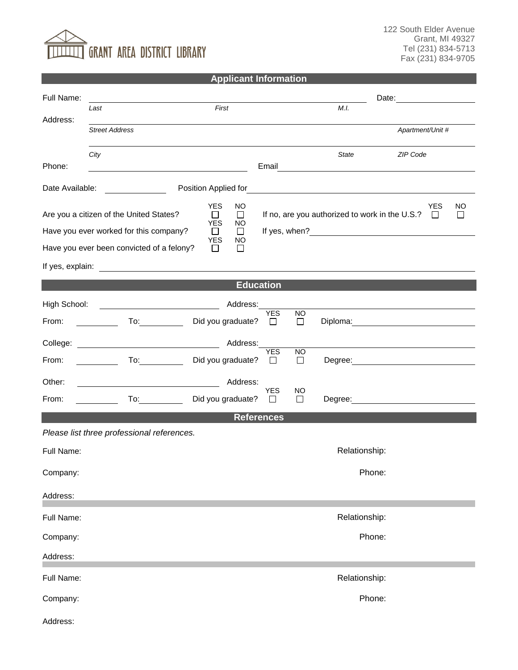## $\overline{\overline{\mathbb{I}}}$  grant area district library

122 South Elder Avenue Grant, MI 49327 Tel (231) 834-5713 Fax (231) 834-9705

## **Applicant Information**

| Full Name:        |                                                                                                                                                                                                                                |                                             |                                             | Date:                                                      |                                                                                                                                                                                                                                |  |  |
|-------------------|--------------------------------------------------------------------------------------------------------------------------------------------------------------------------------------------------------------------------------|---------------------------------------------|---------------------------------------------|------------------------------------------------------------|--------------------------------------------------------------------------------------------------------------------------------------------------------------------------------------------------------------------------------|--|--|
| Address:          | Last                                                                                                                                                                                                                           | First                                       |                                             | M.I.                                                       |                                                                                                                                                                                                                                |  |  |
|                   | <b>Street Address</b>                                                                                                                                                                                                          |                                             |                                             |                                                            | Apartment/Unit #                                                                                                                                                                                                               |  |  |
| Phone:            | City                                                                                                                                                                                                                           |                                             | Email                                       | <b>State</b>                                               | ZIP Code                                                                                                                                                                                                                       |  |  |
|                   | <u> 1980 - Johann Stoff, deutscher Stoff, der Stoff, der Stoff, der Stoff, der Stoff, der Stoff, der Stoff, der S</u>                                                                                                          |                                             |                                             |                                                            |                                                                                                                                                                                                                                |  |  |
| Date Available:   | <u> The Common State Common</u>                                                                                                                                                                                                | Position Applied for                        |                                             | <u> 1989 - Johann John Stein, fransk politik (d. 1989)</u> |                                                                                                                                                                                                                                |  |  |
|                   | Are you a citizen of the United States?                                                                                                                                                                                        | <b>YES</b><br><b>NO</b><br>$\Box$<br>$\Box$ |                                             | If no, are you authorized to work in the U.S.?             | <b>YES</b><br>ΝO<br>$\Box$<br>$\Box$                                                                                                                                                                                           |  |  |
|                   | Have you ever worked for this company?                                                                                                                                                                                         | <b>YES</b><br>NO.<br>$\Box$<br>$\Box$       |                                             |                                                            |                                                                                                                                                                                                                                |  |  |
|                   | Have you ever been convicted of a felony?                                                                                                                                                                                      | YES<br>NO<br>П<br>$\Box$                    |                                             |                                                            |                                                                                                                                                                                                                                |  |  |
|                   |                                                                                                                                                                                                                                |                                             |                                             |                                                            |                                                                                                                                                                                                                                |  |  |
|                   |                                                                                                                                                                                                                                | <b>Education</b>                            |                                             |                                                            |                                                                                                                                                                                                                                |  |  |
| High School:      | <u> 1980 - Johann Barn, mars eta bainar eta baina eta baina eta baina eta baina eta baina eta baina eta baina e</u>                                                                                                            | Address:                                    |                                             |                                                            |                                                                                                                                                                                                                                |  |  |
| From:             | $\overline{a}$ To: $\overline{a}$                                                                                                                                                                                              | Did you graduate?                           | <b>YES</b><br><b>NO</b><br>$\Box$<br>$\Box$ |                                                            | Diploma: the contract of the contract of the contract of the contract of the contract of the contract of the contract of the contract of the contract of the contract of the contract of the contract of the contract of the c |  |  |
| College:          |                                                                                                                                                                                                                                | Address:                                    |                                             |                                                            |                                                                                                                                                                                                                                |  |  |
| From:             | To: the contract of the contract of the contract of the contract of the contract of the contract of the contract of the contract of the contract of the contract of the contract of the contract of the contract of the contra | Did you graduate?                           | <b>YES</b><br><b>NO</b><br>$\Box$<br>$\Box$ |                                                            |                                                                                                                                                                                                                                |  |  |
| Other:            |                                                                                                                                                                                                                                | Address:                                    |                                             |                                                            |                                                                                                                                                                                                                                |  |  |
| From:             | To: and the state of the state of the state of the state of the state of the state of the state of the state o                                                                                                                 | Did you graduate?                           | <b>YES</b><br>NO.<br>□<br>$\perp$           |                                                            |                                                                                                                                                                                                                                |  |  |
| <b>References</b> |                                                                                                                                                                                                                                |                                             |                                             |                                                            |                                                                                                                                                                                                                                |  |  |
|                   | Please list three professional references.                                                                                                                                                                                     |                                             |                                             |                                                            |                                                                                                                                                                                                                                |  |  |
| Full Name:        |                                                                                                                                                                                                                                |                                             |                                             | Relationship:                                              |                                                                                                                                                                                                                                |  |  |
| Company:          |                                                                                                                                                                                                                                |                                             |                                             | Phone:                                                     |                                                                                                                                                                                                                                |  |  |
| Address:          |                                                                                                                                                                                                                                |                                             |                                             |                                                            |                                                                                                                                                                                                                                |  |  |
| Full Name:        |                                                                                                                                                                                                                                |                                             |                                             | Relationship:                                              |                                                                                                                                                                                                                                |  |  |
| Company:          |                                                                                                                                                                                                                                |                                             |                                             | Phone:                                                     |                                                                                                                                                                                                                                |  |  |
| Address:          |                                                                                                                                                                                                                                |                                             |                                             |                                                            |                                                                                                                                                                                                                                |  |  |
| Full Name:        |                                                                                                                                                                                                                                |                                             |                                             | Relationship:                                              |                                                                                                                                                                                                                                |  |  |
| Company:          |                                                                                                                                                                                                                                |                                             |                                             | Phone:                                                     |                                                                                                                                                                                                                                |  |  |
| Address:          |                                                                                                                                                                                                                                |                                             |                                             |                                                            |                                                                                                                                                                                                                                |  |  |